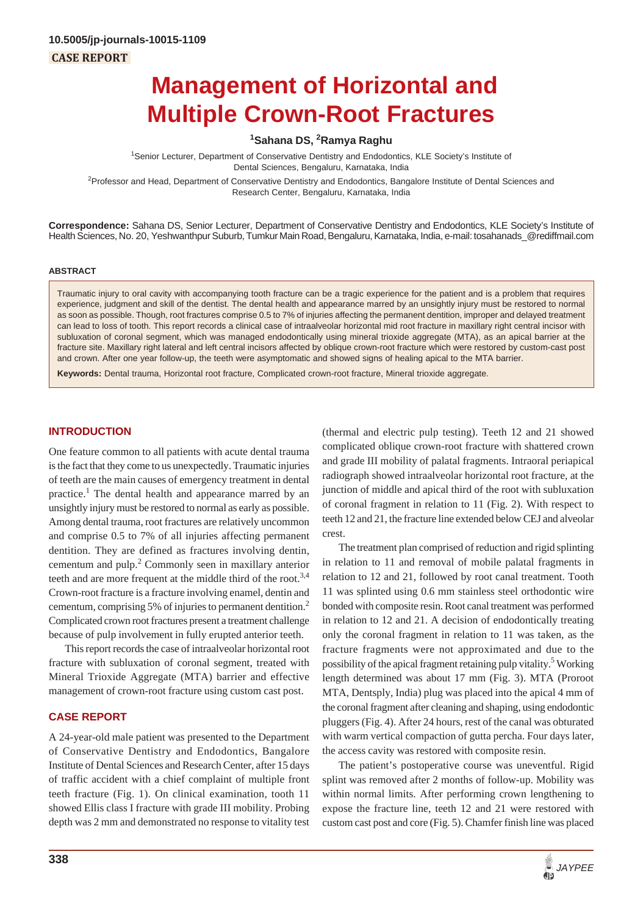# **Management of Horizontal and Multiple Crown-Root Fractures**

**1 Sahana DS, 2 Ramya Raghu**

1 Senior Lecturer, Department of Conservative Dentistry and Endodontics, KLE Society's Institute of Dental Sciences, Bengaluru, Karnataka, India

<sup>2</sup>Professor and Head, Department of Conservative Dentistry and Endodontics, Bangalore Institute of Dental Sciences and Research Center, Bengaluru, Karnataka, India

**Correspondence:** Sahana DS, Senior Lecturer, Department of Conservative Dentistry and Endodontics, KLE Society's Institute of Health Sciences, No. 20, Yeshwanthpur Suburb, Tumkur Main Road, Bengaluru, Karnataka, India, e-mail: tosahanads\_@rediffmail.com

#### **ABSTRACT**

Traumatic injury to oral cavity with accompanying tooth fracture can be a tragic experience for the patient and is a problem that requires experience, judgment and skill of the dentist. The dental health and appearance marred by an unsightly injury must be restored to normal as soon as possible. Though, root fractures comprise 0.5 to 7% of injuries affecting the permanent dentition, improper and delayed treatment can lead to loss of tooth. This report records a clinical case of intraalveolar horizontal mid root fracture in maxillary right central incisor with subluxation of coronal segment, which was managed endodontically using mineral trioxide aggregate (MTA), as an apical barrier at the fracture site. Maxillary right lateral and left central incisors affected by oblique crown-root fracture which were restored by custom-cast post and crown. After one year follow-up, the teeth were asymptomatic and showed signs of healing apical to the MTA barrier.

**Keywords:** Dental trauma, Horizontal root fracture, Complicated crown-root fracture, Mineral trioxide aggregate.

# **INTRODUCTION**

One feature common to all patients with acute dental trauma is the fact that they come to us unexpectedly. Traumatic injuries of teeth are the main causes of emergency treatment in dental practice.<sup>1</sup> The dental health and appearance marred by an unsightly injury must be restored to normal as early as possible. Among dental trauma, root fractures are relatively uncommon and comprise 0.5 to 7% of all injuries affecting permanent dentition. They are defined as fractures involving dentin, cementum and pulp.<sup>2</sup> Commonly seen in maxillary anterior teeth and are more frequent at the middle third of the root.<sup>3,4</sup> Crown-root fracture is a fracture involving enamel, dentin and cementum, comprising 5% of injuries to permanent dentition.2 Complicated crown root fractures present a treatment challenge because of pulp involvement in fully erupted anterior teeth.

This report records the case of intraalveolar horizontal root fracture with subluxation of coronal segment, treated with Mineral Trioxide Aggregate (MTA) barrier and effective management of crown-root fracture using custom cast post.

# **CASE REPORT**

A 24-year-old male patient was presented to the Department of Conservative Dentistry and Endodontics, Bangalore Institute of Dental Sciences and Research Center, after 15 days of traffic accident with a chief complaint of multiple front teeth fracture (Fig. 1). On clinical examination, tooth 11 showed Ellis class I fracture with grade III mobility. Probing depth was 2 mm and demonstrated no response to vitality test (thermal and electric pulp testing). Teeth 12 and 21 showed complicated oblique crown-root fracture with shattered crown and grade III mobility of palatal fragments. Intraoral periapical radiograph showed intraalveolar horizontal root fracture, at the junction of middle and apical third of the root with subluxation of coronal fragment in relation to 11 (Fig. 2). With respect to teeth 12 and 21, the fracture line extended below CEJ and alveolar crest.

The treatment plan comprised of reduction and rigid splinting in relation to 11 and removal of mobile palatal fragments in relation to 12 and 21, followed by root canal treatment. Tooth 11 was splinted using 0.6 mm stainless steel orthodontic wire bonded with composite resin. Root canal treatment was performed in relation to 12 and 21. A decision of endodontically treating only the coronal fragment in relation to 11 was taken, as the fracture fragments were not approximated and due to the possibility of the apical fragment retaining pulp vitality.<sup>5</sup> Working length determined was about 17 mm (Fig. 3). MTA (Proroot MTA, Dentsply, India) plug was placed into the apical 4 mm of the coronal fragment after cleaning and shaping, using endodontic pluggers (Fig. 4). After 24 hours, rest of the canal was obturated with warm vertical compaction of gutta percha. Four days later, the access cavity was restored with composite resin.

The patient's postoperative course was uneventful. Rigid splint was removed after 2 months of follow-up. Mobility was within normal limits. After performing crown lengthening to expose the fracture line, teeth 12 and 21 were restored with custom cast post and core (Fig. 5). Chamfer finish line was placed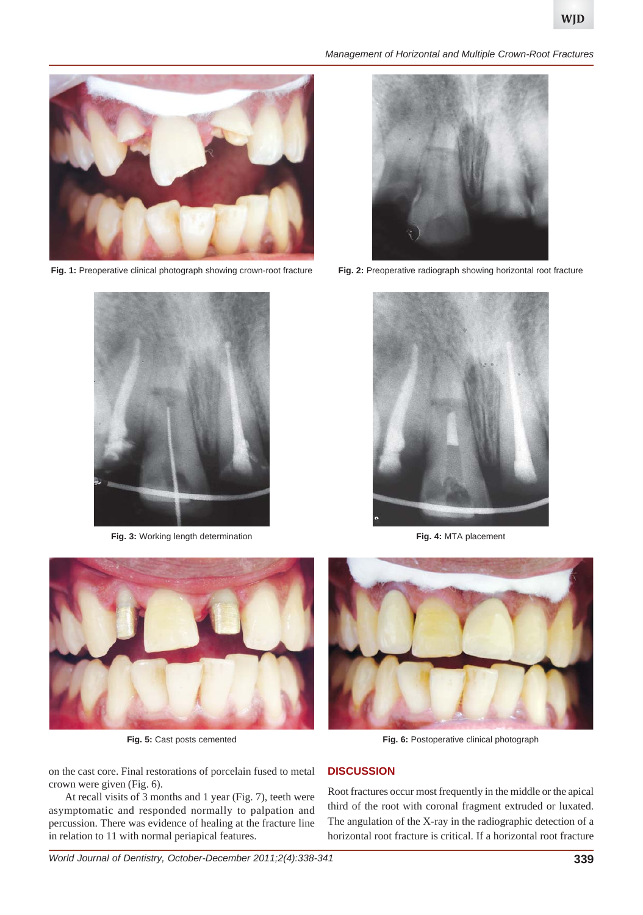

**Fig. 1:** Preoperative clinical photograph showing crown-root fracture **Fig. 2:** Preoperative radiograph showing horizontal root fracture



**Fig. 3:** Working length determination **Fig. 3: Fig. 4:** MTA placement

*Management of Horizontal and Multiple Crown-Root Fractures*







on the cast core. Final restorations of porcelain fused to metal crown were given (Fig. 6).

At recall visits of 3 months and 1 year (Fig. 7), teeth were asymptomatic and responded normally to palpation and percussion. There was evidence of healing at the fracture line in relation to 11 with normal periapical features.



**Fig. 5:** Cast posts cemented **Fig. 6:** Postoperative clinical photograph

## **DISCUSSION**

Root fractures occur most frequently in the middle or the apical third of the root with coronal fragment extruded or luxated. The angulation of the X-ray in the radiographic detection of a horizontal root fracture is critical. If a horizontal root fracture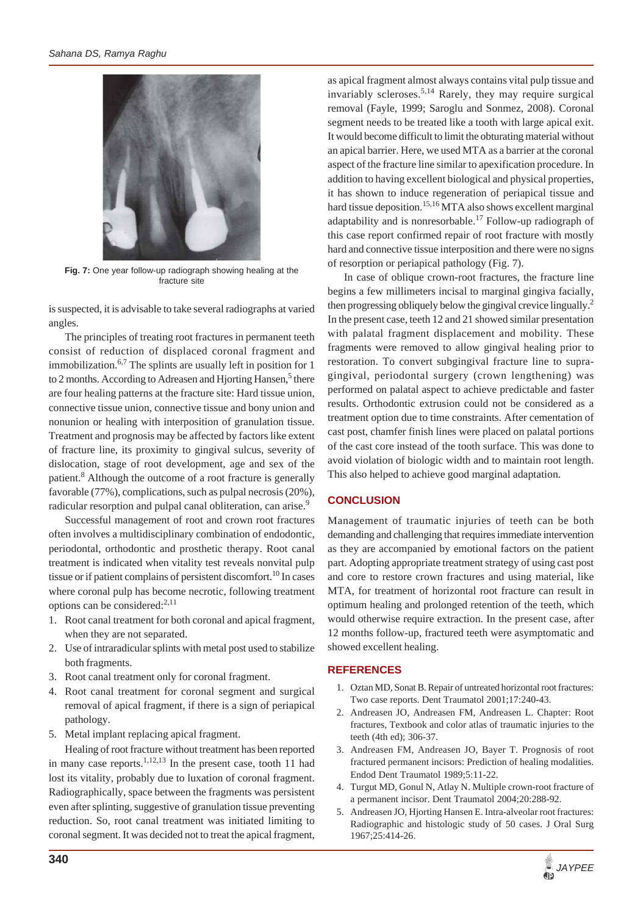

**Fig. 7:** One year follow-up radiograph showing healing at the fracture site

is suspected, it is advisable to take several radiographs at varied angles.

The principles of treating root fractures in permanent teeth consist of reduction of displaced coronal fragment and immobilization.<sup>6,7</sup> The splints are usually left in position for 1 to 2 months. According to Adreasen and Hjorting Hansen,<sup>5</sup> there are four healing patterns at the fracture site: Hard tissue union, connective tissue union, connective tissue and bony union and nonunion or healing with interposition of granulation tissue. Treatment and prognosis may be affected by factors like extent of fracture line, its proximity to gingival sulcus, severity of dislocation, stage of root development, age and sex of the patient.<sup>8</sup> Although the outcome of a root fracture is generally favorable (77%), complications, such as pulpal necrosis (20%), radicular resorption and pulpal canal obliteration, can arise.<sup>9</sup>

Successful management of root and crown root fractures often involves a multidisciplinary combination of endodontic, periodontal, orthodontic and prosthetic therapy. Root canal treatment is indicated when vitality test reveals nonvital pulp tissue or if patient complains of persistent discomfort.<sup>10</sup> In cases where coronal pulp has become necrotic, following treatment options can be considered:<sup>2,11</sup>

- 1. Root canal treatment for both coronal and apical fragment, when they are not separated.
- 2. Use of intraradicular splints with metal post used to stabilize both fragments.
- 3. Root canal treatment only for coronal fragment.
- 4. Root canal treatment for coronal segment and surgical removal of apical fragment, if there is a sign of periapical pathology.
- 5. Metal implant replacing apical fragment.

Healing of root fracture without treatment has been reported in many case reports.<sup>1,12,13</sup> In the present case, tooth 11 had lost its vitality, probably due to luxation of coronal fragment. Radiographically, space between the fragments was persistent even after splinting, suggestive of granulation tissue preventing reduction. So, root canal treatment was initiated limiting to coronal segment. It was decided not to treat the apical fragment,

as apical fragment almost always contains vital pulp tissue and invariably scleroses.<sup>5,14</sup> Rarely, they may require surgical removal (Fayle, 1999; Saroglu and Sonmez, 2008). Coronal segment needs to be treated like a tooth with large apical exit. It would become difficult to limit the obturating material without an apical barrier. Here, we used MTA as a barrier at the coronal aspect of the fracture line similar to apexification procedure. In addition to having excellent biological and physical properties, it has shown to induce regeneration of periapical tissue and hard tissue deposition.<sup>15,16</sup> MTA also shows excellent marginal adaptability and is nonresorbable.<sup>17</sup> Follow-up radiograph of this case report confirmed repair of root fracture with mostly hard and connective tissue interposition and there were no signs of resorption or periapical pathology (Fig. 7).

In case of oblique crown-root fractures, the fracture line begins a few millimeters incisal to marginal gingiva facially, then progressing obliquely below the gingival crevice lingually.<sup>2</sup> In the present case, teeth 12 and 21 showed similar presentation with palatal fragment displacement and mobility. These fragments were removed to allow gingival healing prior to restoration. To convert subgingival fracture line to supragingival, periodontal surgery (crown lengthening) was performed on palatal aspect to achieve predictable and faster results. Orthodontic extrusion could not be considered as a treatment option due to time constraints. After cementation of cast post, chamfer finish lines were placed on palatal portions of the cast core instead of the tooth surface. This was done to avoid violation of biologic width and to maintain root length. This also helped to achieve good marginal adaptation.

## **CONCLUSION**

Management of traumatic injuries of teeth can be both demanding and challenging that requires immediate intervention as they are accompanied by emotional factors on the patient part. Adopting appropriate treatment strategy of using cast post and core to restore crown fractures and using material, like MTA, for treatment of horizontal root fracture can result in optimum healing and prolonged retention of the teeth, which would otherwise require extraction. In the present case, after 12 months follow-up, fractured teeth were asymptomatic and showed excellent healing.

## **REFERENCES**

- 1. Oztan MD, Sonat B. Repair of untreated horizontal root fractures: Two case reports. Dent Traumatol 2001;17:240-43.
- 2. Andreasen JO, Andreasen FM, Andreasen L. Chapter: Root fractures, Textbook and color atlas of traumatic injuries to the teeth (4th ed); 306-37.
- 3. Andreasen FM, Andreasen JO, Bayer T. Prognosis of root fractured permanent incisors: Prediction of healing modalities. Endod Dent Traumatol 1989;5:11-22.
- 4. Turgut MD, Gonul N, Atlay N. Multiple crown-root fracture of a permanent incisor. Dent Traumatol 2004;20:288-92.
- 5. Andreasen JO, Hjorting Hansen E. Intra-alveolar root fractures: Radiographic and histologic study of 50 cases. J Oral Surg 1967;25:414-26.